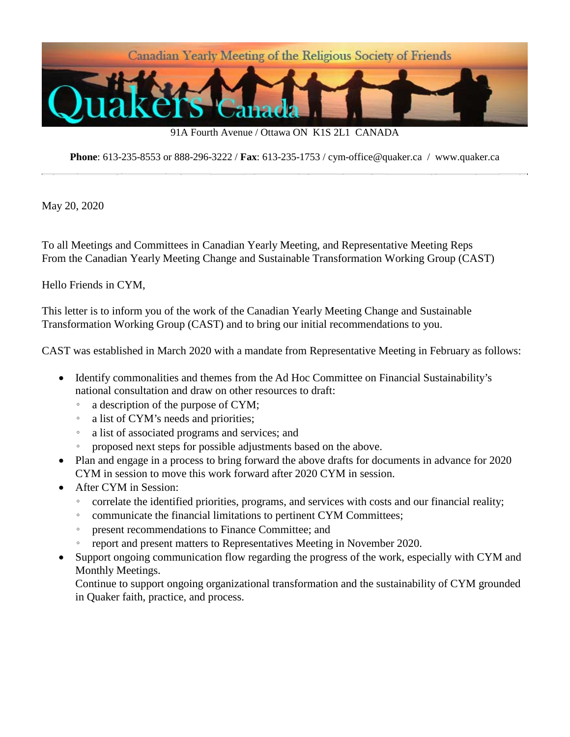

91A Fourth Avenue / Ottawa ON K1S 2L1 CANADA

**Phone**: 613-235-8553 or 888-296-3222 / **Fax**: 613-235-1753 / cym-office@quaker.ca / www.quaker.ca

May 20, 2020

To all Meetings and Committees in Canadian Yearly Meeting, and Representative Meeting Reps From the Canadian Yearly Meeting Change and Sustainable Transformation Working Group (CAST)

Hello Friends in CYM,

This letter is to inform you of the work of the Canadian Yearly Meeting Change and Sustainable Transformation Working Group (CAST) and to bring our initial recommendations to you.

CAST was established in March 2020 with a mandate from Representative Meeting in February as follows:

- Identify commonalities and themes from the Ad Hoc Committee on Financial Sustainability's national consultation and draw on other resources to draft:
	- a description of the purpose of CYM;
	- a list of CYM's needs and priorities;
	- a list of associated programs and services; and
	- proposed next steps for possible adjustments based on the above.
- Plan and engage in a process to bring forward the above drafts for documents in advance for 2020 CYM in session to move this work forward after 2020 CYM in session.
- After CYM in Session:
	- correlate the identified priorities, programs, and services with costs and our financial reality;
	- communicate the financial limitations to pertinent CYM Committees;
	- present recommendations to Finance Committee; and
	- report and present matters to Representatives Meeting in November 2020.
- Support ongoing communication flow regarding the progress of the work, especially with CYM and Monthly Meetings.

Continue to support ongoing organizational transformation and the sustainability of CYM grounded in Quaker faith, practice, and process.